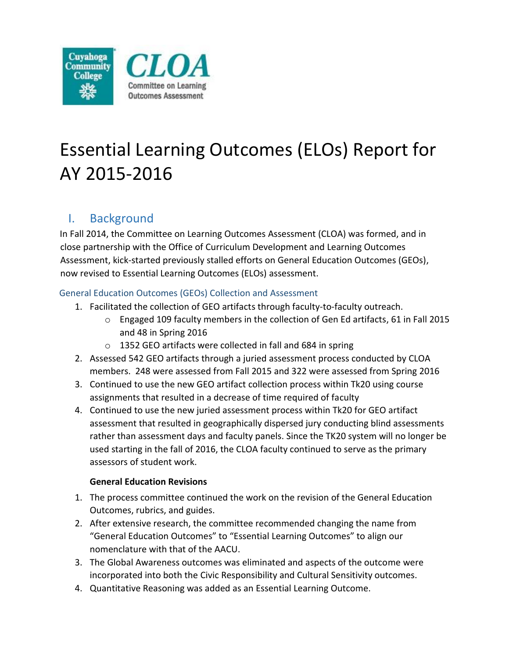

## Essential Learning Outcomes (ELOs) Report for AY 2015-2016

## I. Background

In Fall 2014, the Committee on Learning Outcomes Assessment (CLOA) was formed, and in close partnership with the Office of Curriculum Development and Learning Outcomes Assessment, kick-started previously stalled efforts on General Education Outcomes (GEOs), now revised to Essential Learning Outcomes (ELOs) assessment.

## General Education Outcomes (GEOs) Collection and Assessment

- 1. Facilitated the collection of GEO artifacts through faculty-to-faculty outreach.
	- o Engaged 109 faculty members in the collection of Gen Ed artifacts, 61 in Fall 2015 and 48 in Spring 2016
	- o 1352 GEO artifacts were collected in fall and 684 in spring
- 2. Assessed 542 GEO artifacts through a juried assessment process conducted by CLOA members. 248 were assessed from Fall 2015 and 322 were assessed from Spring 2016
- 3. Continued to use the new GEO artifact collection process within Tk20 using course assignments that resulted in a decrease of time required of faculty
- 4. Continued to use the new juried assessment process within Tk20 for GEO artifact assessment that resulted in geographically dispersed jury conducting blind assessments rather than assessment days and faculty panels. Since the TK20 system will no longer be used starting in the fall of 2016, the CLOA faculty continued to serve as the primary assessors of student work.

## **General Education Revisions**

- 1. The process committee continued the work on the revision of the General Education Outcomes, rubrics, and guides.
- 2. After extensive research, the committee recommended changing the name from "General Education Outcomes" to "Essential Learning Outcomes" to align our nomenclature with that of the AACU.
- 3. The Global Awareness outcomes was eliminated and aspects of the outcome were incorporated into both the Civic Responsibility and Cultural Sensitivity outcomes.
- 4. Quantitative Reasoning was added as an Essential Learning Outcome.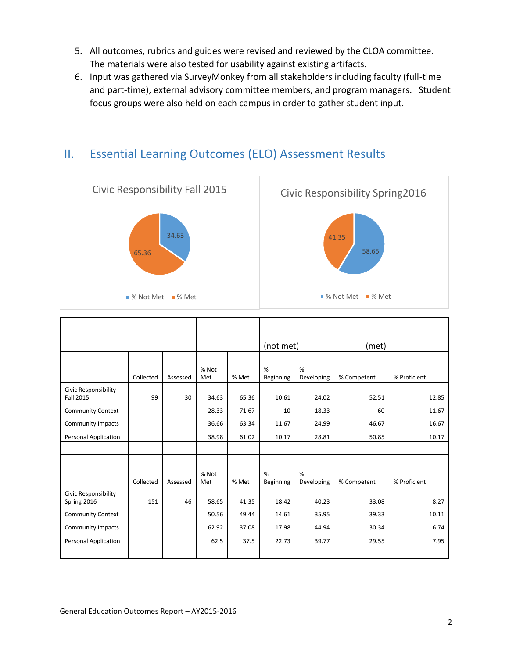- 5. All outcomes, rubrics and guides were revised and reviewed by the CLOA committee. The materials were also tested for usability against existing artifacts.
- 6. Input was gathered via SurveyMonkey from all stakeholders including faculty (full-time and part-time), external advisory committee members, and program managers. Student focus groups were also held on each campus in order to gather student input.



| % Proficient |
|--------------|
| 12.85        |
| 11.67        |
| 16.67        |
| 10.17        |
|              |
|              |
|              |
|              |
| 8.27         |
| 10.11        |
| 6.74         |
| 7.95         |
| % Proficient |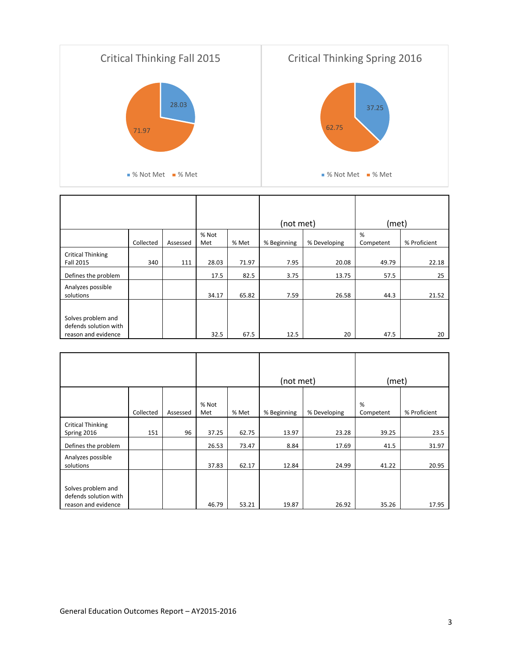

|                          |           |          |       |       | (not met)   |              | (met)     |              |
|--------------------------|-----------|----------|-------|-------|-------------|--------------|-----------|--------------|
|                          |           |          | % Not |       |             |              | %         |              |
|                          | Collected | Assessed | Met   | % Met | % Beginning | % Developing | Competent | % Proficient |
| <b>Critical Thinking</b> |           |          |       |       |             |              |           |              |
| Fall 2015                | 340       | 111      | 28.03 | 71.97 | 7.95        | 20.08        | 49.79     | 22.18        |
| Defines the problem      |           |          | 17.5  | 82.5  | 3.75        | 13.75        | 57.5      | 25           |
| Analyzes possible        |           |          |       |       |             |              |           |              |
| solutions                |           |          | 34.17 | 65.82 | 7.59        | 26.58        | 44.3      | 21.52        |
|                          |           |          |       |       |             |              |           |              |
| Solves problem and       |           |          |       |       |             |              |           |              |
| defends solution with    |           |          |       |       |             |              |           |              |
| reason and evidence      |           |          | 32.5  | 67.5  | 12.5        | 20           | 47.5      | 20           |

|                                                                    |           |          |              |       |             | (not met)    |                | (met)        |  |
|--------------------------------------------------------------------|-----------|----------|--------------|-------|-------------|--------------|----------------|--------------|--|
|                                                                    | Collected | Assessed | % Not<br>Met | % Met | % Beginning | % Developing | %<br>Competent | % Proficient |  |
| <b>Critical Thinking</b><br>Spring 2016                            | 151       | 96       | 37.25        | 62.75 | 13.97       | 23.28        | 39.25          | 23.5         |  |
| Defines the problem                                                |           |          | 26.53        | 73.47 | 8.84        | 17.69        | 41.5           | 31.97        |  |
| Analyzes possible<br>solutions                                     |           |          | 37.83        | 62.17 | 12.84       | 24.99        | 41.22          | 20.95        |  |
| Solves problem and<br>defends solution with<br>reason and evidence |           |          | 46.79        | 53.21 | 19.87       | 26.92        | 35.26          | 17.95        |  |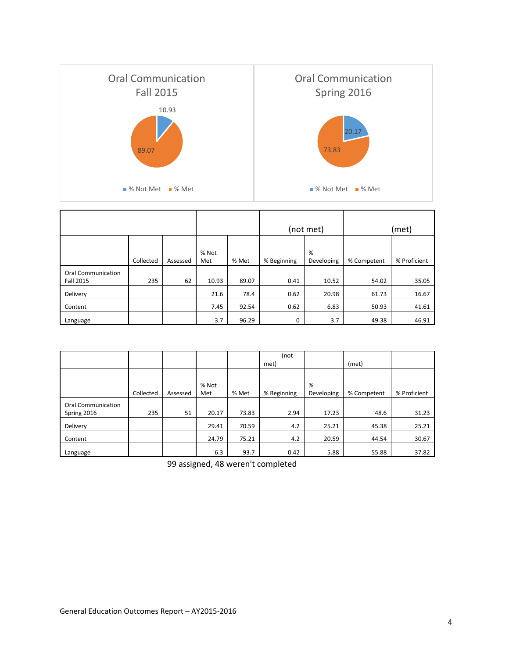

|                                 |           |          |              |       |             | (not met)       |             | (met)        |
|---------------------------------|-----------|----------|--------------|-------|-------------|-----------------|-------------|--------------|
|                                 | Collected | Assessed | % Not<br>Met | % Met | % Beginning | %<br>Developing | % Competent | % Proficient |
| Oral Communication<br>Fall 2015 | 235       | 62       | 10.93        | 89.07 | 0.41        | 10.52           | 54.02       | 35.05        |
| Delivery                        |           |          | 21.6         | 78.4  | 0.62        | 20.98           | 61.73       | 16.67        |
| Content                         |           |          | 7.45         | 92.54 | 0.62        | 6.83            | 50.93       | 41.61        |
| Language                        |           |          | 3.7          | 96.29 | 0           | 3.7             | 49.38       | 46.91        |

|                           |           |          |       |       | (not        |            |             |              |
|---------------------------|-----------|----------|-------|-------|-------------|------------|-------------|--------------|
|                           |           |          |       |       | met)        |            | (met)       |              |
|                           |           |          |       |       |             |            |             |              |
|                           |           |          | % Not |       |             | %          |             |              |
|                           | Collected | Assessed | Met   | % Met | % Beginning | Developing | % Competent | % Proficient |
| <b>Oral Communication</b> |           |          |       |       |             |            |             |              |
| Spring 2016               | 235       | 51       | 20.17 | 73.83 | 2.94        | 17.23      | 48.6        | 31.23        |
| Delivery                  |           |          | 29.41 | 70.59 | 4.2         | 25.21      | 45.38       | 25.21        |
| Content                   |           |          | 24.79 | 75.21 | 4.2         | 20.59      | 44.54       | 30.67        |
| Language                  |           |          | 6.3   | 93.7  | 0.42        | 5.88       | 55.88       | 37.82        |

99 assigned, 48 weren't completed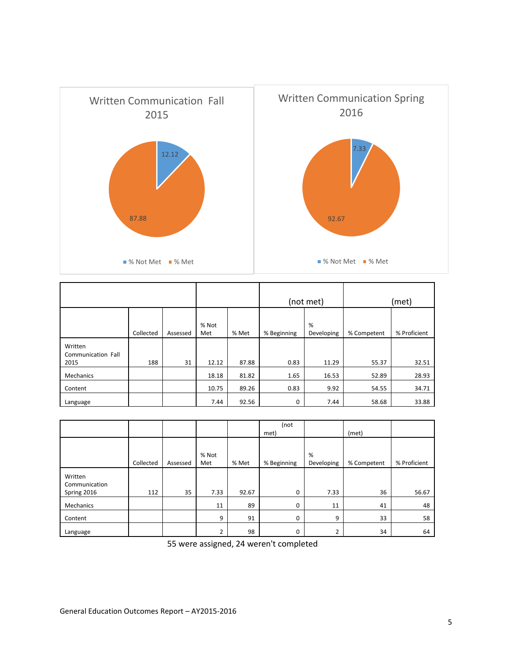

|                               |           |          |              | (not met) |             | (met)           |             |              |
|-------------------------------|-----------|----------|--------------|-----------|-------------|-----------------|-------------|--------------|
|                               |           |          |              |           |             |                 |             |              |
|                               | Collected | Assessed | % Not<br>Met | % Met     | % Beginning | %<br>Developing | % Competent | % Proficient |
| Written<br>Communication Fall |           |          |              |           |             |                 |             |              |
| 2015                          | 188       | 31       | 12.12        | 87.88     | 0.83        | 11.29           | 55.37       | 32.51        |
| Mechanics                     |           |          | 18.18        | 81.82     | 1.65        | 16.53           | 52.89       | 28.93        |
| Content                       |           |          | 10.75        | 89.26     | 0.83        | 9.92            | 54.55       | 34.71        |
| Language                      |           |          | 7.44         | 92.56     | 0           | 7.44            | 58.68       | 33.88        |

|                          |           |          |                |       | (not        |            |             |              |
|--------------------------|-----------|----------|----------------|-------|-------------|------------|-------------|--------------|
|                          |           |          |                |       | met)        |            | (met)       |              |
|                          |           |          |                |       |             |            |             |              |
|                          |           |          | % Not          |       |             | %          |             |              |
|                          | Collected | Assessed | Met            | % Met | % Beginning | Developing | % Competent | % Proficient |
| Written<br>Communication |           |          |                |       |             |            |             |              |
| Spring 2016              | 112       | 35       | 7.33           | 92.67 | 0           | 7.33       | 36          | 56.67        |
| Mechanics                |           |          | 11             | 89    | 0           | 11         | 41          | 48           |
| Content                  |           |          | 9              | 91    | $\Omega$    | 9          | 33          | 58           |
| Language                 |           |          | $\overline{2}$ | 98    | 0           | C.         | 34          | 64           |

55 were assigned, 24 weren't completed